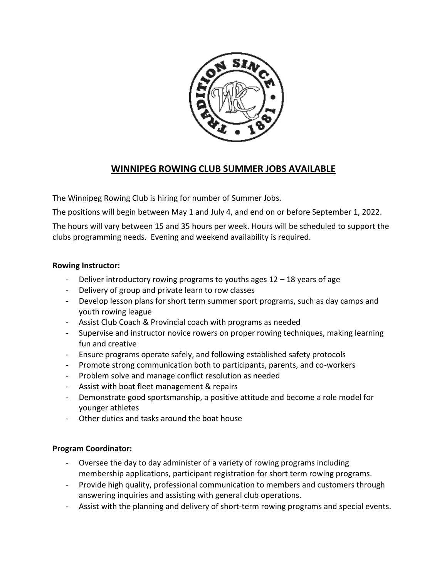

# **WINNIPEG ROWING CLUB SUMMER JOBS AVAILABLE**

The Winnipeg Rowing Club is hiring for number of Summer Jobs.

The positions will begin between May 1 and July 4, and end on or before September 1, 2022.

The hours will vary between 15 and 35 hours per week. Hours will be scheduled to support the clubs programming needs. Evening and weekend availability is required.

## **Rowing Instructor:**

- Deliver introductory rowing programs to youths ages  $12 18$  years of age
- Delivery of group and private learn to row classes
- Develop lesson plans for short term summer sport programs, such as day camps and youth rowing league
- Assist Club Coach & Provincial coach with programs as needed
- Supervise and instructor novice rowers on proper rowing techniques, making learning fun and creative
- Ensure programs operate safely, and following established safety protocols
- Promote strong communication both to participants, parents, and co-workers
- Problem solve and manage conflict resolution as needed
- Assist with boat fleet management & repairs
- Demonstrate good sportsmanship, a positive attitude and become a role model for younger athletes
- Other duties and tasks around the boat house

## **Program Coordinator:**

- Oversee the day to day administer of a variety of rowing programs including membership applications, participant registration for short term rowing programs.
- Provide high quality, professional communication to members and customers through answering inquiries and assisting with general club operations.
- Assist with the planning and delivery of short-term rowing programs and special events.